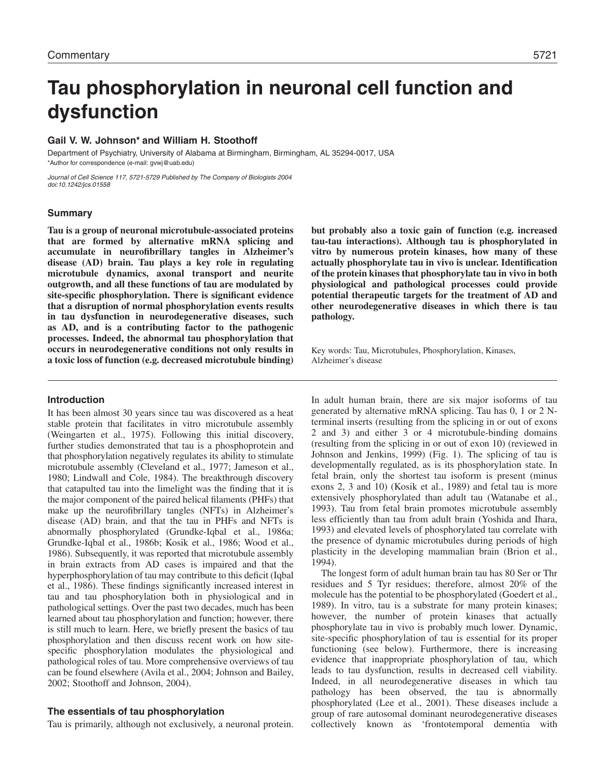# **Tau phosphorylation in neuronal cell function and dysfunction**

### **Gail V. W. Johnson\* and William H. Stoothoff**

Department of Psychiatry, University of Alabama at Birmingham, Birmingham, AL 35294-0017, USA \*Author for correspondence (e-mail: gvwj@uab.edu)

Journal of Cell Science 117, 5721-5729 Published by The Company of Biologists 2004 doi:10.1242/jcs.01558

### **Summary**

**Tau is a group of neuronal microtubule-associated proteins that are formed by alternative mRNA splicing and accumulate in neurofibrillary tangles in Alzheimer's disease (AD) brain. Tau plays a key role in regulating microtubule dynamics, axonal transport and neurite outgrowth, and all these functions of tau are modulated by site-specific phosphorylation. There is significant evidence that a disruption of normal phosphorylation events results in tau dysfunction in neurodegenerative diseases, such as AD, and is a contributing factor to the pathogenic processes. Indeed, the abnormal tau phosphorylation that occurs in neurodegenerative conditions not only results in a toxic loss of function (e.g. decreased microtubule binding)** **but probably also a toxic gain of function (e.g. increased tau-tau interactions). Although tau is phosphorylated in vitro by numerous protein kinases, how many of these actually phosphorylate tau in vivo is unclear. Identification of the protein kinases that phosphorylate tau in vivo in both physiological and pathological processes could provide potential therapeutic targets for the treatment of AD and other neurodegenerative diseases in which there is tau pathology.**

Key words: Tau, Microtubules, Phosphorylation, Kinases, Alzheimer's disease

### **Introduction**

It has been almost 30 years since tau was discovered as a heat stable protein that facilitates in vitro microtubule assembly (Weingarten et al., 1975). Following this initial discovery, further studies demonstrated that tau is a phosphoprotein and that phosphorylation negatively regulates its ability to stimulate microtubule assembly (Cleveland et al., 1977; Jameson et al., 1980; Lindwall and Cole, 1984). The breakthrough discovery that catapulted tau into the limelight was the finding that it is the major component of the paired helical filaments (PHFs) that make up the neurofibrillary tangles (NFTs) in Alzheimer's disease (AD) brain, and that the tau in PHFs and NFTs is abnormally phosphorylated (Grundke-Iqbal et al., 1986a; Grundke-Iqbal et al., 1986b; Kosik et al., 1986; Wood et al., 1986). Subsequently, it was reported that microtubule assembly in brain extracts from AD cases is impaired and that the hyperphosphorylation of tau may contribute to this deficit (Iqbal et al., 1986). These findings significantly increased interest in tau and tau phosphorylation both in physiological and in pathological settings. Over the past two decades, much has been learned about tau phosphorylation and function; however, there is still much to learn. Here, we briefly present the basics of tau phosphorylation and then discuss recent work on how sitespecific phosphorylation modulates the physiological and pathological roles of tau. More comprehensive overviews of tau can be found elsewhere (Avila et al., 2004; Johnson and Bailey, 2002; Stoothoff and Johnson, 2004).

### **The essentials of tau phosphorylation**

Tau is primarily, although not exclusively, a neuronal protein.

In adult human brain, there are six major isoforms of tau generated by alternative mRNA splicing. Tau has 0, 1 or 2 Nterminal inserts (resulting from the splicing in or out of exons 2 and 3) and either 3 or 4 microtubule-binding domains (resulting from the splicing in or out of exon 10) (reviewed in Johnson and Jenkins, 1999) (Fig. 1). The splicing of tau is developmentally regulated, as is its phosphorylation state. In fetal brain, only the shortest tau isoform is present (minus exons 2, 3 and 10) (Kosik et al., 1989) and fetal tau is more extensively phosphorylated than adult tau (Watanabe et al., 1993). Tau from fetal brain promotes microtubule assembly less efficiently than tau from adult brain (Yoshida and Ihara, 1993) and elevated levels of phosphorylated tau correlate with the presence of dynamic microtubules during periods of high plasticity in the developing mammalian brain (Brion et al., 1994).

The longest form of adult human brain tau has 80 Ser or Thr residues and 5 Tyr residues; therefore, almost 20% of the molecule has the potential to be phosphorylated (Goedert et al., 1989). In vitro, tau is a substrate for many protein kinases; however, the number of protein kinases that actually phosphorylate tau in vivo is probably much lower. Dynamic, site-specific phosphorylation of tau is essential for its proper functioning (see below). Furthermore, there is increasing evidence that inappropriate phosphorylation of tau, which leads to tau dysfunction, results in decreased cell viability. Indeed, in all neurodegenerative diseases in which tau pathology has been observed, the tau is abnormally phosphorylated (Lee et al., 2001). These diseases include a group of rare autosomal dominant neurodegenerative diseases collectively known as 'frontotemporal dementia with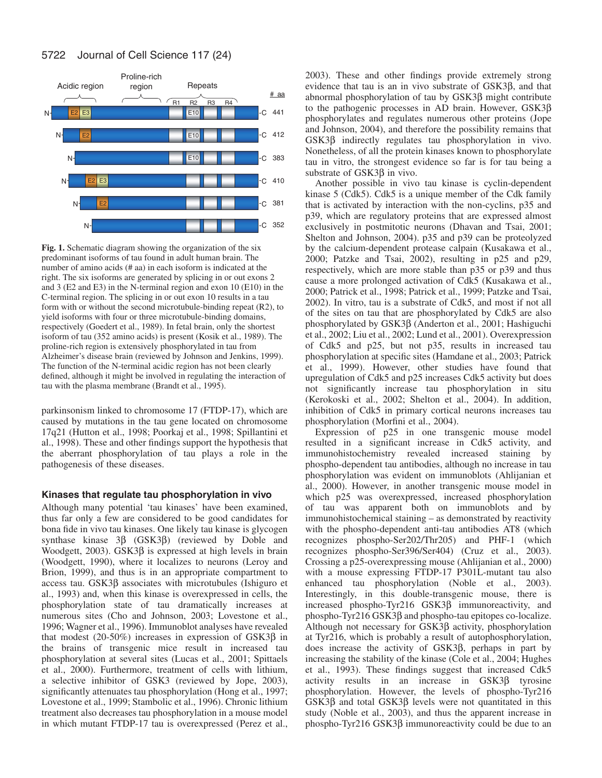

**Fig. 1.** Schematic diagram showing the organization of the six predominant isoforms of tau found in adult human brain. The number of amino acids (# aa) in each isoform is indicated at the right. The six isoforms are generated by splicing in or out exons 2 and 3 (E2 and E3) in the N-terminal region and exon 10 (E10) in the C-terminal region. The splicing in or out exon 10 results in a tau form with or without the second microtubule-binding repeat (R2), to yield isoforms with four or three microtubule-binding domains, respectively (Goedert et al., 1989). In fetal brain, only the shortest isoform of tau (352 amino acids) is present (Kosik et al., 1989). The proline-rich region is extensively phosphorylated in tau from Alzheimer's disease brain (reviewed by Johnson and Jenkins, 1999). The function of the N-terminal acidic region has not been clearly defined, although it might be involved in regulating the interaction of tau with the plasma membrane (Brandt et al., 1995).

parkinsonism linked to chromosome 17 (FTDP-17), which are caused by mutations in the tau gene located on chromosome 17q21 (Hutton et al., 1998; Poorkaj et al., 1998; Spillantini et al., 1998). These and other findings support the hypothesis that the aberrant phosphorylation of tau plays a role in the pathogenesis of these diseases.

### **Kinases that regulate tau phosphorylation in vivo**

Although many potential 'tau kinases' have been examined, thus far only a few are considered to be good candidates for bona fide in vivo tau kinases. One likely tau kinase is glycogen synthase kinase 3β (GSK3β) (reviewed by Doble and Woodgett, 2003). GSK3β is expressed at high levels in brain (Woodgett, 1990), where it localizes to neurons (Leroy and Brion, 1999), and thus is in an appropriate compartment to access tau. GSK3β associates with microtubules (Ishiguro et al., 1993) and, when this kinase is overexpressed in cells, the phosphorylation state of tau dramatically increases at numerous sites (Cho and Johnson, 2003; Lovestone et al., 1996; Wagner et al., 1996). Immunoblot analyses have revealed that modest  $(20-50%)$  increases in expression of GSK3β in the brains of transgenic mice result in increased tau phosphorylation at several sites (Lucas et al., 2001; Spittaels et al., 2000). Furthermore, treatment of cells with lithium, a selective inhibitor of GSK3 (reviewed by Jope, 2003), significantly attenuates tau phosphorylation (Hong et al., 1997; Lovestone et al., 1999; Stambolic et al., 1996). Chronic lithium treatment also decreases tau phosphorylation in a mouse model in which mutant FTDP-17 tau is overexpressed (Perez et al., 2003). These and other findings provide extremely strong evidence that tau is an in vivo substrate of GSK3β, and that abnormal phosphorylation of tau by GSK3β might contribute to the pathogenic processes in AD brain. However, GSK3β phosphorylates and regulates numerous other proteins (Jope and Johnson, 2004), and therefore the possibility remains that GSK3β indirectly regulates tau phosphorylation in vivo. Nonetheless, of all the protein kinases known to phosphorylate tau in vitro, the strongest evidence so far is for tau being a substrate of GSK3β in vivo.

Another possible in vivo tau kinase is cyclin-dependent kinase 5 (Cdk5). Cdk5 is a unique member of the Cdk family that is activated by interaction with the non-cyclins, p35 and p39, which are regulatory proteins that are expressed almost exclusively in postmitotic neurons (Dhavan and Tsai, 2001; Shelton and Johnson, 2004). p35 and p39 can be proteolyzed by the calcium-dependent protease calpain (Kusakawa et al., 2000; Patzke and Tsai, 2002), resulting in p25 and p29, respectively, which are more stable than p35 or p39 and thus cause a more prolonged activation of Cdk5 (Kusakawa et al., 2000; Patrick et al., 1998; Patrick et al., 1999; Patzke and Tsai, 2002). In vitro, tau is a substrate of Cdk5, and most if not all of the sites on tau that are phosphorylated by Cdk5 are also phosphorylated by GSK3β (Anderton et al., 2001; Hashiguchi et al., 2002; Liu et al., 2002; Lund et al., 2001). Overexpression of Cdk5 and p25, but not p35, results in increased tau phosphorylation at specific sites (Hamdane et al., 2003; Patrick et al., 1999). However, other studies have found that upregulation of Cdk5 and p25 increases Cdk5 activity but does not significantly increase tau phosphorylation in situ (Kerokoski et al., 2002; Shelton et al., 2004). In addition, inhibition of Cdk5 in primary cortical neurons increases tau phosphorylation (Morfini et al., 2004).

Expression of p25 in one transgenic mouse model resulted in a significant increase in Cdk5 activity, and immunohistochemistry revealed increased staining by phospho-dependent tau antibodies, although no increase in tau phosphorylation was evident on immunoblots (Ahlijanian et al., 2000). However, in another transgenic mouse model in which p25 was overexpressed, increased phosphorylation of tau was apparent both on immunoblots and by immunohistochemical staining – as demonstrated by reactivity with the phospho-dependent anti-tau antibodies AT8 (which recognizes phospho-Ser202/Thr205) and PHF-1 (which recognizes phospho-Ser396/Ser404) (Cruz et al., 2003). Crossing a p25-overexpressing mouse (Ahlijanian et al., 2000) with a mouse expressing FTDP-17 P301L-mutant tau also enhanced tau phosphorylation (Noble et al., 2003). Interestingly, in this double-transgenic mouse, there is increased phospho-Tyr216 GSK3β immunoreactivity, and phospho-Tyr216 GSK3β and phospho-tau epitopes co-localize. Although not necessary for GSK3β activity, phosphorylation at Tyr216, which is probably a result of autophosphorylation, does increase the activity of GSK3β, perhaps in part by increasing the stability of the kinase (Cole et al., 2004; Hughes et al., 1993). These findings suggest that increased Cdk5 activity results in an increase in GSK3β tyrosine phosphorylation. However, the levels of phospho-Tyr216 GSK3β and total GSK3β levels were not quantitated in this study (Noble et al., 2003), and thus the apparent increase in phospho-Tyr216 GSK3β immunoreactivity could be due to an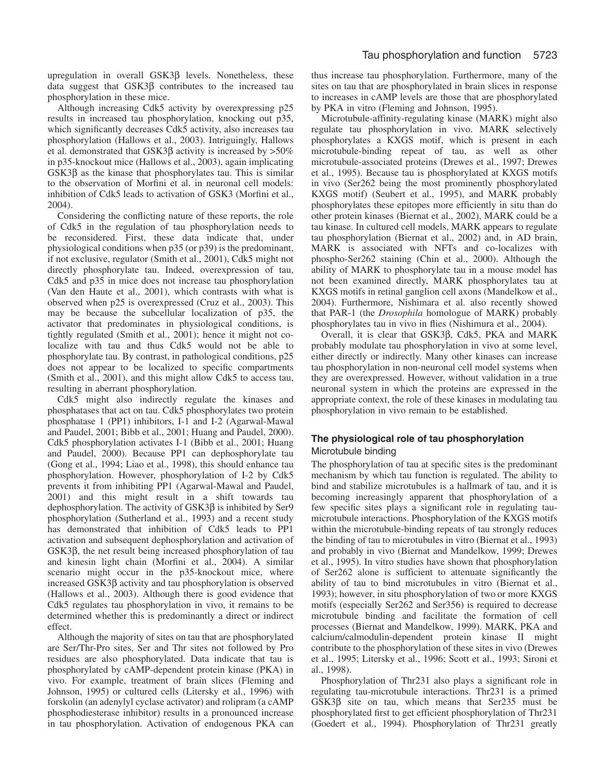upregulation in overall GSK3β levels. Nonetheless, these data suggest that GSK3β contributes to the increased tau phosphorylation in these mice.

Although increasing Cdk5 activity by overexpressing p25 results in increased tau phosphorylation, knocking out p35, which significantly decreases Cdk5 activity, also increases tau phosphorylation (Hallows et al., 2003). Intriguingly, Hallows et al. demonstrated that GSK3 $\beta$  activity is increased by >50% in p35-knockout mice (Hallows et al., 2003), again implicating GSK3β as the kinase that phosphorylates tau. This is similar to the observation of Morfini et al. in neuronal cell models: inhibition of Cdk5 leads to activation of GSK3 (Morfini et al., 2004).

Considering the conflicting nature of these reports, the role of Cdk5 in the regulation of tau phosphorylation needs to be reconsidered. First, these data indicate that, under physiological conditions when p35 (or p39) is the predominant, if not exclusive, regulator (Smith et al., 2001), Cdk5 might not directly phosphorylate tau. Indeed, overexpression of tau, Cdk5 and p35 in mice does not increase tau phosphorylation (Van den Haute et al., 2001), which contrasts with what is observed when p25 is overexpressed (Cruz et al., 2003). This may be because the subcellular localization of p35, the activator that predominates in physiological conditions, is tightly regulated (Smith et al., 2001); hence it might not colocalize with tau and thus Cdk5 would not be able to phosphorylate tau. By contrast, in pathological conditions, p25 does not appear to be localized to specific compartments (Smith et al., 2001), and this might allow Cdk5 to access tau, resulting in aberrant phosphorylation.

Cdk5 might also indirectly regulate the kinases and phosphatases that act on tau. Cdk5 phosphorylates two protein phosphatase 1 (PP1) inhibitors, I-1 and I-2 (Agarwal-Mawal and Paudel, 2001; Bibb et al., 2001; Huang and Paudel, 2000). Cdk5 phosphorylation activates I-1 (Bibb et al., 2001; Huang and Paudel, 2000). Because PP1 can dephosphorylate tau (Gong et al., 1994; Liao et al., 1998), this should enhance tau phosphorylation. However, phosphorylation of I-2 by Cdk5 prevents it from inhibiting PP1 (Agarwal-Mawal and Paudel, 2001) and this might result in a shift towards tau dephosphorylation. The activity of GSK3β is inhibited by Ser9 phosphorylation (Sutherland et al., 1993) and a recent study has demonstrated that inhibition of Cdk5 leads to PP1 activation and subsequent dephosphorylation and activation of GSK3β, the net result being increased phosphorylation of tau and kinesin light chain (Morfini et al., 2004). A similar scenario might occur in the p35-knockout mice, where increased GSK3β activity and tau phosphorylation is observed (Hallows et al., 2003). Although there is good evidence that Cdk5 regulates tau phosphorylation in vivo, it remains to be determined whether this is predominantly a direct or indirect effect.

Although the majority of sites on tau that are phosphorylated are Ser/Thr-Pro sites, Ser and Thr sites not followed by Pro residues are also phosphorylated. Data indicate that tau is phosphorylated by cAMP-dependent protein kinase (PKA) in vivo. For example, treatment of brain slices (Fleming and Johnson, 1995) or cultured cells (Litersky et al., 1996) with forskolin (an adenylyl cyclase activator) and rolipram (a cAMP phosphodiesterase inhibitor) results in a pronounced increase in tau phosphorylation. Activation of endogenous PKA can thus increase tau phosphorylation. Furthermore, many of the sites on tau that are phosphorylated in brain slices in response to increases in cAMP levels are those that are phosphorylated by PKA in vitro (Fleming and Johnson, 1995).

Microtubule-affinity-regulating kinase (MARK) might also regulate tau phosphorylation in vivo. MARK selectively phosphorylates a KXGS motif, which is present in each microtubule-binding repeat of tau, as well as other microtubule-associated proteins (Drewes et al., 1997; Drewes et al., 1995). Because tau is phosphorylated at KXGS motifs in vivo (Ser262 being the most prominently phosphorylated KXGS motif) (Seubert et al., 1995), and MARK probably phosphorylates these epitopes more efficiently in situ than do other protein kinases (Biernat et al., 2002), MARK could be a tau kinase. In cultured cell models, MARK appears to regulate tau phosphorylation (Biernat et al., 2002) and, in AD brain, MARK is associated with NFTs and co-localizes with phospho-Ser262 staining (Chin et al., 2000). Although the ability of MARK to phosphorylate tau in a mouse model has not been examined directly, MARK phosphorylates tau at KXGS motifs in retinal ganglion cell axons (Mandelkow et al., 2004). Furthermore, Nishimara et al. also recently showed that PAR-1 (the *Drosophila* homologue of MARK) probably phosphorylates tau in vivo in flies (Nishimura et al., 2004).

Overall, it is clear that GSK3β, Cdk5, PKA and MARK probably modulate tau phosphorylation in vivo at some level, either directly or indirectly. Many other kinases can increase tau phosphorylation in non-neuronal cell model systems when they are overexpressed. However, without validation in a true neuronal system in which the proteins are expressed in the appropriate context, the role of these kinases in modulating tau phosphorylation in vivo remain to be established.

## **The physiological role of tau phosphorylation** Microtubule binding

The phosphorylation of tau at specific sites is the predominant mechanism by which tau function is regulated. The ability to bind and stabilize microtubules is a hallmark of tau, and it is becoming increasingly apparent that phosphorylation of a few specific sites plays a significant role in regulating taumicrotubule interactions. Phosphorylation of the KXGS motifs within the microtubule-binding repeats of tau strongly reduces the binding of tau to microtubules in vitro (Biernat et al., 1993) and probably in vivo (Biernat and Mandelkow, 1999; Drewes et al., 1995). In vitro studies have shown that phosphorylation of Ser262 alone is sufficient to attenuate significantly the ability of tau to bind microtubules in vitro (Biernat et al., 1993); however, in situ phosphorylation of two or more KXGS motifs (especially Ser262 and Ser356) is required to decrease microtubule binding and facilitate the formation of cell processes (Biernat and Mandelkow, 1999). MARK, PKA and calcium/calmodulin-dependent protein kinase II might contribute to the phosphorylation of these sites in vivo (Drewes et al., 1995; Litersky et al., 1996; Scott et al., 1993; Sironi et al., 1998).

Phosphorylation of Thr231 also plays a significant role in regulating tau-microtubule interactions. Thr231 is a primed GSK3β site on tau, which means that Ser235 must be phosphorylated first to get efficient phosphorylation of Thr231 (Goedert et al., 1994). Phosphorylation of Thr231 greatly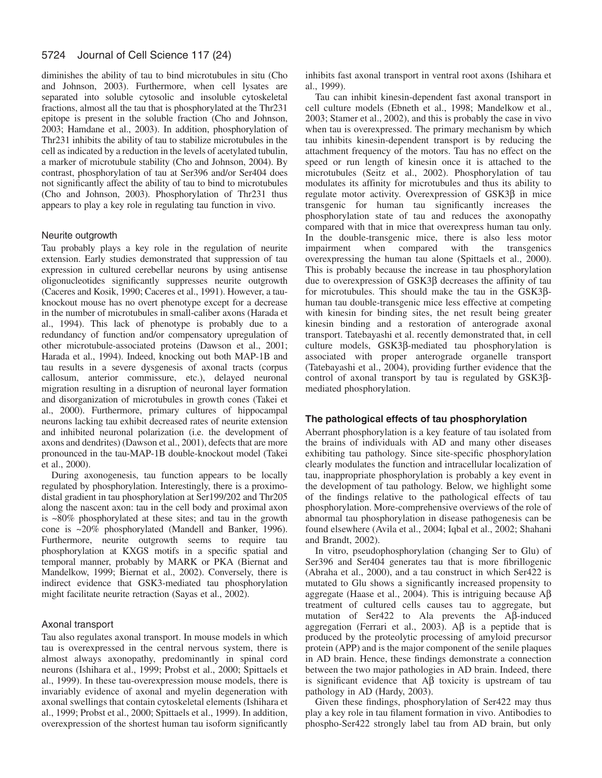#### 5724 Journal of Cell Science 117 (24)

diminishes the ability of tau to bind microtubules in situ (Cho and Johnson, 2003). Furthermore, when cell lysates are separated into soluble cytosolic and insoluble cytoskeletal fractions, almost all the tau that is phosphorylated at the Thr231 epitope is present in the soluble fraction (Cho and Johnson, 2003; Hamdane et al., 2003). In addition, phosphorylation of Thr231 inhibits the ability of tau to stabilize microtubules in the cell as indicated by a reduction in the levels of acetylated tubulin, a marker of microtubule stability (Cho and Johnson, 2004). By contrast, phosphorylation of tau at Ser396 and/or Ser404 does not significantly affect the ability of tau to bind to microtubules (Cho and Johnson, 2003). Phosphorylation of Thr231 thus appears to play a key role in regulating tau function in vivo.

### Neurite outgrowth

Tau probably plays a key role in the regulation of neurite extension. Early studies demonstrated that suppression of tau expression in cultured cerebellar neurons by using antisense oligonucleotides significantly suppresses neurite outgrowth (Caceres and Kosik, 1990; Caceres et al., 1991). However, a tauknockout mouse has no overt phenotype except for a decrease in the number of microtubules in small-caliber axons (Harada et al., 1994). This lack of phenotype is probably due to a redundancy of function and/or compensatory upregulation of other microtubule-associated proteins (Dawson et al., 2001; Harada et al., 1994). Indeed, knocking out both MAP-1B and tau results in a severe dysgenesis of axonal tracts (corpus callosum, anterior commissure, etc.), delayed neuronal migration resulting in a disruption of neuronal layer formation and disorganization of microtubules in growth cones (Takei et al., 2000). Furthermore, primary cultures of hippocampal neurons lacking tau exhibit decreased rates of neurite extension and inhibited neuronal polarization (i.e. the development of axons and dendrites) (Dawson et al., 2001), defects that are more pronounced in the tau-MAP-1B double-knockout model (Takei et al., 2000).

During axonogenesis, tau function appears to be locally regulated by phosphorylation. Interestingly, there is a proximodistal gradient in tau phosphorylation at Ser199/202 and Thr205 along the nascent axon: tau in the cell body and proximal axon is ~80% phosphorylated at these sites; and tau in the growth cone is ~20% phosphorylated (Mandell and Banker, 1996). Furthermore, neurite outgrowth seems to require tau phosphorylation at KXGS motifs in a specific spatial and temporal manner, probably by MARK or PKA (Biernat and Mandelkow, 1999; Biernat et al., 2002). Conversely, there is indirect evidence that GSK3-mediated tau phosphorylation might facilitate neurite retraction (Sayas et al., 2002).

### Axonal transport

Tau also regulates axonal transport. In mouse models in which tau is overexpressed in the central nervous system, there is almost always axonopathy, predominantly in spinal cord neurons (Ishihara et al., 1999; Probst et al., 2000; Spittaels et al., 1999). In these tau-overexpression mouse models, there is invariably evidence of axonal and myelin degeneration with axonal swellings that contain cytoskeletal elements (Ishihara et al., 1999; Probst et al., 2000; Spittaels et al., 1999). In addition, overexpression of the shortest human tau isoform significantly inhibits fast axonal transport in ventral root axons (Ishihara et al., 1999).

Tau can inhibit kinesin-dependent fast axonal transport in cell culture models (Ebneth et al., 1998; Mandelkow et al., 2003; Stamer et al., 2002), and this is probably the case in vivo when tau is overexpressed. The primary mechanism by which tau inhibits kinesin-dependent transport is by reducing the attachment frequency of the motors. Tau has no effect on the speed or run length of kinesin once it is attached to the microtubules (Seitz et al., 2002). Phosphorylation of tau modulates its affinity for microtubules and thus its ability to regulate motor activity. Overexpression of GSK3β in mice transgenic for human tau significantly increases the phosphorylation state of tau and reduces the axonopathy compared with that in mice that overexpress human tau only. In the double-transgenic mice, there is also less motor impairment when compared with the transgenics overexpressing the human tau alone (Spittaels et al., 2000). This is probably because the increase in tau phosphorylation due to overexpression of GSK3β decreases the affinity of tau for microtubules. This should make the tau in the GSK3βhuman tau double-transgenic mice less effective at competing with kinesin for binding sites, the net result being greater kinesin binding and a restoration of anterograde axonal transport. Tatebayashi et al. recently demonstrated that, in cell culture models, GSK3β-mediated tau phosphorylation is associated with proper anterograde organelle transport (Tatebayashi et al., 2004), providing further evidence that the control of axonal transport by tau is regulated by GSK3βmediated phosphorylation.

### **The pathological effects of tau phosphorylation**

Aberrant phosphorylation is a key feature of tau isolated from the brains of individuals with AD and many other diseases exhibiting tau pathology. Since site-specific phosphorylation clearly modulates the function and intracellular localization of tau, inappropriate phosphorylation is probably a key event in the development of tau pathology. Below, we highlight some of the findings relative to the pathological effects of tau phosphorylation. More-comprehensive overviews of the role of abnormal tau phosphorylation in disease pathogenesis can be found elsewhere (Avila et al., 2004; Iqbal et al., 2002; Shahani and Brandt, 2002).

In vitro, pseudophosphorylation (changing Ser to Glu) of Ser396 and Ser404 generates tau that is more fibrillogenic (Abraha et al., 2000), and a tau construct in which Ser422 is mutated to Glu shows a significantly increased propensity to aggregate (Haase et al., 2004). This is intriguing because  $A\beta$ treatment of cultured cells causes tau to aggregate, but mutation of Ser422 to Ala prevents the Aβ-induced aggregation (Ferrari et al., 2003). A $\beta$  is a peptide that is produced by the proteolytic processing of amyloid precursor protein (APP) and is the major component of the senile plaques in AD brain. Hence, these findings demonstrate a connection between the two major pathologies in AD brain. Indeed, there is significant evidence that  $\overrightarrow{AB}$  toxicity is upstream of tau pathology in AD (Hardy, 2003).

Given these findings, phosphorylation of Ser422 may thus play a key role in tau filament formation in vivo. Antibodies to phospho-Ser422 strongly label tau from AD brain, but only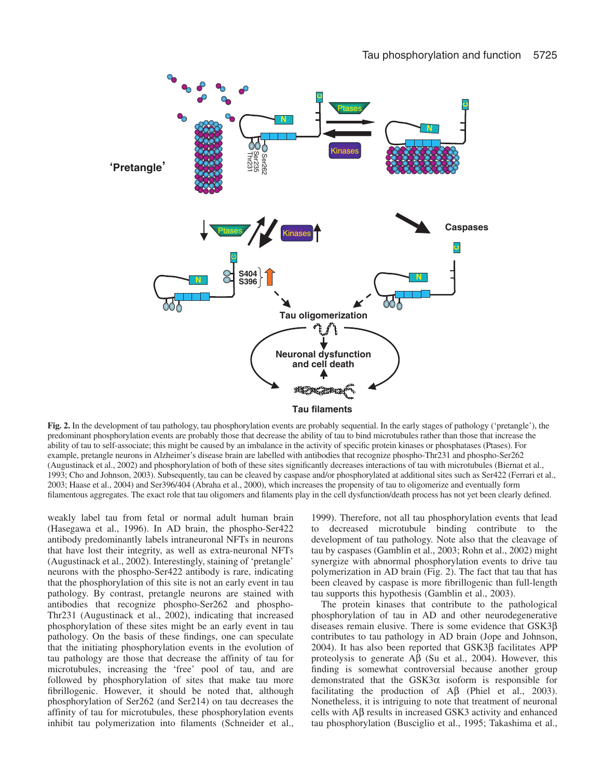

**Fig. 2.** In the development of tau pathology, tau phosphorylation events are probably sequential. In the early stages of pathology ('pretangle'), the predominant phosphorylation events are probably those that decrease the ability of tau to bind microtubules rather than those that increase the ability of tau to self-associate; this might be caused by an imbalance in the activity of specific protein kinases or phosphatases (Ptases). For example, pretangle neurons in Alzheimer's disease brain are labelled with antibodies that recognize phospho-Thr231 and phospho-Ser262 (Augustinack et al., 2002) and phosphorylation of both of these sites significantly decreases interactions of tau with microtubules (Biernat et al., 1993; Cho and Johnson, 2003). Subsequently, tau can be cleaved by caspase and/or phosphorylated at additional sites such as Ser422 (Ferrari et al., 2003; Haase et al., 2004) and Ser396/404 (Abraha et al., 2000), which increases the propensity of tau to oligomerize and eventually form filamentous aggregates. The exact role that tau oligomers and filaments play in the cell dysfunction/death process has not yet been clearly defined.

weakly label tau from fetal or normal adult human brain (Hasegawa et al., 1996). In AD brain, the phospho-Ser422 antibody predominantly labels intraneuronal NFTs in neurons that have lost their integrity, as well as extra-neuronal NFTs (Augustinack et al., 2002). Interestingly, staining of 'pretangle' neurons with the phospho-Ser422 antibody is rare, indicating that the phosphorylation of this site is not an early event in tau pathology. By contrast, pretangle neurons are stained with antibodies that recognize phospho-Ser262 and phospho-Thr231 (Augustinack et al., 2002), indicating that increased phosphorylation of these sites might be an early event in tau pathology. On the basis of these findings, one can speculate that the initiating phosphorylation events in the evolution of tau pathology are those that decrease the affinity of tau for microtubules, increasing the 'free' pool of tau, and are followed by phosphorylation of sites that make tau more fibrillogenic. However, it should be noted that, although phosphorylation of Ser262 (and Ser214) on tau decreases the affinity of tau for microtubules, these phosphorylation events inhibit tau polymerization into filaments (Schneider et al.,

1999). Therefore, not all tau phosphorylation events that lead to decreased microtubule binding contribute to the development of tau pathology. Note also that the cleavage of tau by caspases (Gamblin et al., 2003; Rohn et al., 2002) might synergize with abnormal phosphorylation events to drive tau polymerization in AD brain (Fig. 2). The fact that tau that has been cleaved by caspase is more fibrillogenic than full-length tau supports this hypothesis (Gamblin et al., 2003).

The protein kinases that contribute to the pathological phosphorylation of tau in AD and other neurodegenerative diseases remain elusive. There is some evidence that GSK3β contributes to tau pathology in AD brain (Jope and Johnson, 2004). It has also been reported that GSK3β facilitates APP proteolysis to generate  $\mathsf{A}\mathsf{B}$  (Su et al., 2004). However, this finding is somewhat controversial because another group demonstrated that the GSK3α isoform is responsible for facilitating the production of Aβ (Phiel et al., 2003). Nonetheless, it is intriguing to note that treatment of neuronal cells with Aβ results in increased GSK3 activity and enhanced tau phosphorylation (Busciglio et al., 1995; Takashima et al.,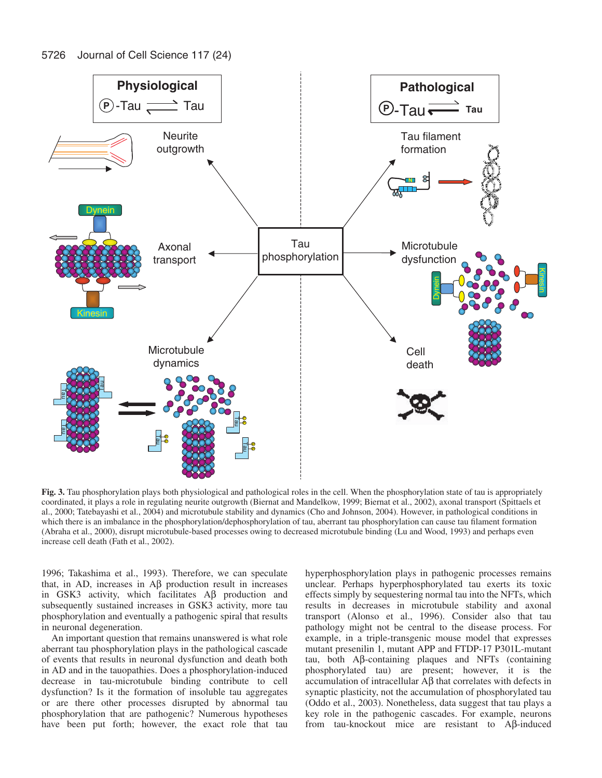5726 Journal of Cell Science 117 (24)



**Fig. 3.** Tau phosphorylation plays both physiological and pathological roles in the cell. When the phosphorylation state of tau is appropriately coordinated, it plays a role in regulating neurite outgrowth (Biernat and Mandelkow, 1999; Biernat et al., 2002), axonal transport (Spittaels et al., 2000; Tatebayashi et al., 2004) and microtubule stability and dynamics (Cho and Johnson, 2004). However, in pathological conditions in which there is an imbalance in the phosphorylation/dephosphorylation of tau, aberrant tau phosphorylation can cause tau filament formation (Abraha et al., 2000), disrupt microtubule-based processes owing to decreased microtubule binding (Lu and Wood, 1993) and perhaps even increase cell death (Fath et al., 2002).

1996; Takashima et al., 1993). Therefore, we can speculate that, in AD, increases in Aβ production result in increases in GSK3 activity, which facilitates Aβ production and subsequently sustained increases in GSK3 activity, more tau phosphorylation and eventually a pathogenic spiral that results in neuronal degeneration.

An important question that remains unanswered is what role aberrant tau phosphorylation plays in the pathological cascade of events that results in neuronal dysfunction and death both in AD and in the tauopathies. Does a phosphorylation-induced decrease in tau-microtubule binding contribute to cell dysfunction? Is it the formation of insoluble tau aggregates or are there other processes disrupted by abnormal tau phosphorylation that are pathogenic? Numerous hypotheses have been put forth; however, the exact role that tau hyperphosphorylation plays in pathogenic processes remains unclear. Perhaps hyperphosphorylated tau exerts its toxic effects simply by sequestering normal tau into the NFTs, which results in decreases in microtubule stability and axonal transport (Alonso et al., 1996). Consider also that tau pathology might not be central to the disease process. For example, in a triple-transgenic mouse model that expresses mutant presenilin 1, mutant APP and FTDP-17 P301L-mutant tau, both Aβ-containing plaques and NFTs (containing phosphorylated tau) are present; however, it is the accumulation of intracellular Aβ that correlates with defects in synaptic plasticity, not the accumulation of phosphorylated tau (Oddo et al., 2003). Nonetheless, data suggest that tau plays a key role in the pathogenic cascades. For example, neurons from tau-knockout mice are resistant to Aβ-induced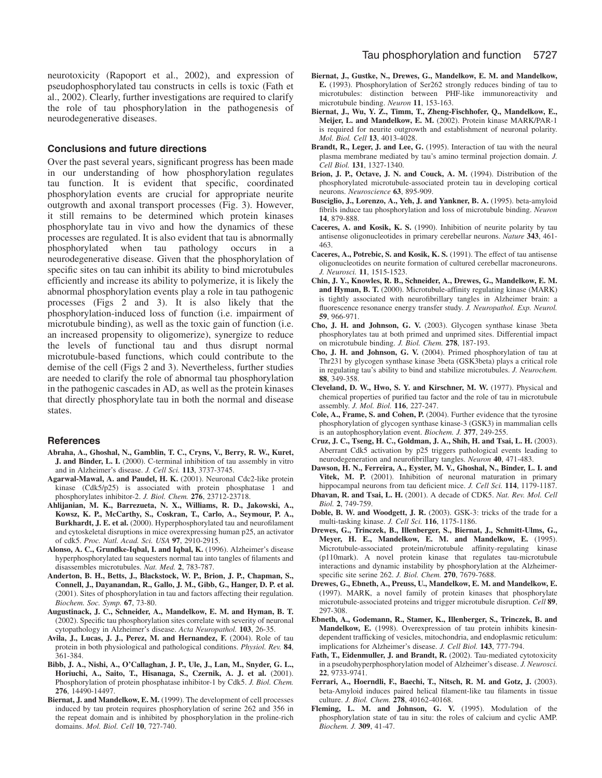neurotoxicity (Rapoport et al., 2002), and expression of pseudophosphorylated tau constructs in cells is toxic (Fath et al., 2002). Clearly, further investigations are required to clarify the role of tau phosphorylation in the pathogenesis of neurodegenerative diseases.

### **Conclusions and future directions**

Over the past several years, significant progress has been made in our understanding of how phosphorylation regulates tau function. It is evident that specific, coordinated phosphorylation events are crucial for appropriate neurite outgrowth and axonal transport processes (Fig. 3). However, it still remains to be determined which protein kinases phosphorylate tau in vivo and how the dynamics of these processes are regulated. It is also evident that tau is abnormally phosphorylated when tau pathology occurs in neurodegenerative disease. Given that the phosphorylation of specific sites on tau can inhibit its ability to bind microtubules efficiently and increase its ability to polymerize, it is likely the abnormal phosphorylation events play a role in tau pathogenic processes (Figs 2 and 3). It is also likely that the phosphorylation-induced loss of function (i.e. impairment of microtubule binding), as well as the toxic gain of function (i.e. an increased propensity to oligomerize), synergize to reduce the levels of functional tau and thus disrupt normal microtubule-based functions, which could contribute to the demise of the cell (Figs 2 and 3). Nevertheless, further studies are needed to clarify the role of abnormal tau phosphorylation in the pathogenic cascades in AD, as well as the protein kinases that directly phosphorylate tau in both the normal and disease states.

### **References**

- **Abraha, A., Ghoshal, N., Gamblin, T. C., Cryns, V., Berry, R. W., Kuret, J. and Binder, L. I.** (2000). C-terminal inhibition of tau assembly in vitro and in Alzheimer's disease. *J. Cell Sci.* **113**, 3737-3745.
- Agarwal-Mawal, A. and Paudel, H. K. (2001). Neuronal Cdc2-like protein kinase (Cdk5/p25) is associated with protein phosphatase 1 and phosphorylates inhibitor-2. *J. Biol. Chem.* **276**, 23712-23718.
- **Ahlijanian, M. K., Barrezueta, N. X., Williams, R. D., Jakowski, A., Kowsz, K. P., McCarthy, S., Coskran, T., Carlo, A., Seymour, P. A., Burkhardt, J. E. et al.** (2000). Hyperphosphorylated tau and neurofilament and cytoskeletal disruptions in mice overexpressing human p25, an activator of cdk5. *Proc. Natl. Acad. Sci. USA* **97**, 2910-2915.
- **Alonso, A. C., Grundke-Iqbal, I. and Iqbal, K.** (1996). Alzheimer's disease hyperphosphorylated tau sequesters normal tau into tangles of filaments and disassembles microtubules. *Nat. Med.* **2**, 783-787.
- **Anderton, B. H., Betts, J., Blackstock, W. P., Brion, J. P., Chapman, S., Connell, J., Dayanandan, R., Gallo, J. M., Gibb, G., Hanger, D. P. et al.** (2001). Sites of phosphorylation in tau and factors affecting their regulation. *Biochem. Soc. Symp.* **67**, 73-80.
- **Augustinack, J. C., Schneider, A., Mandelkow, E. M. and Hyman, B. T.** (2002). Specific tau phosphorylation sites correlate with severity of neuronal cytopathology in Alzheimer's disease. *Acta Neuropathol.* **103**, 26-35.
- Avila, J., Lucas, J. J., Perez, M. and Hernandez, F. (2004). Role of tau protein in both physiological and pathological conditions. *Physiol. Rev.* **84**, 361-384.
- **Bibb, J. A., Nishi, A., O'Callaghan, J. P., Ule, J., Lan, M., Snyder, G. L., Horiuchi, A., Saito, T., Hisanaga, S., Czernik, A. J. et al.** (2001). Phosphorylation of protein phosphatase inhibitor-1 by Cdk5. *J. Biol. Chem.* **276**, 14490-14497.
- **Biernat, J. and Mandelkow, E. M.** (1999). The development of cell processes induced by tau protein requires phosphorylation of serine 262 and 356 in the repeat domain and is inhibited by phosphorylation in the proline-rich domains. *Mol. Biol. Cell* **10**, 727-740.
- **Biernat, J., Gustke, N., Drewes, G., Mandelkow, E. M. and Mandelkow, E.** (1993). Phosphorylation of Ser262 strongly reduces binding of tau to microtubules: distinction between PHF-like immunoreactivity and microtubule binding. *Neuron* **11**, 153-163.
- **Biernat, J., Wu, Y. Z., Timm, T., Zheng-Fischhofer, Q., Mandelkow, E., Meijer, L. and Mandelkow, E. M.** (2002). Protein kinase MARK/PAR-1 is required for neurite outgrowth and establishment of neuronal polarity. *Mol. Biol. Cell* **13**, 4013-4028.
- **Brandt, R., Leger, J. and Lee, G.** (1995). Interaction of tau with the neural plasma membrane mediated by tau's amino terminal projection domain. *J. Cell Biol.* **131**, 1327-1340.
- Brion, J. P., Octave, J. N. and Couck, A. M. (1994). Distribution of the phosphorylated microtubule-associated protein tau in developing cortical neurons. *Neuroscience* **63**, 895-909.
- Busciglio, J., Lorenzo, A., Yeh, J. and Yankner, B. A. (1995). beta-amyloid fibrils induce tau phosphorylation and loss of microtubule binding. *Neuron* **14**, 879-888.
- **Caceres, A. and Kosik, K. S.** (1990). Inhibition of neurite polarity by tau antisense oligonucleotides in primary cerebellar neurons. *Nature* **343**, 461- 463.
- **Caceres, A., Potrebic, S. and Kosik, K. S.** (1991). The effect of tau antisense oligonucleotides on neurite formation of cultured cerebellar macroneurons. *J. Neurosci.* **11**, 1515-1523.
- **Chin, J. Y., Knowles, R. B., Schneider, A., Drewes, G., Mandelkow, E. M.** and Hyman, B. T. (2000). Microtubule-affinity regulating kinase (MARK) is tightly associated with neurofibrillary tangles in Alzheimer brain: a fluorescence resonance energy transfer study. *J. Neuropathol. Exp. Neurol.* **59**, 966-971.
- **Cho, J. H. and Johnson, G. V.** (2003). Glycogen synthase kinase 3beta phosphorylates tau at both primed and unprimed sites. Differential impact on microtubule binding. *J. Biol. Chem.* **278**, 187-193.
- **Cho, J. H. and Johnson, G. V.** (2004). Primed phosphorylation of tau at Thr231 by glycogen synthase kinase 3beta (GSK3beta) plays a critical role in regulating tau's ability to bind and stabilize microtubules. *J. Neurochem.* **88**, 349-358.
- **Cleveland, D. W., Hwo, S. Y. and Kirschner, M. W.** (1977). Physical and chemical properties of purified tau factor and the role of tau in microtubule assembly. *J. Mol. Biol.* **116**, 227-247.
- **Cole, A., Frame, S. and Cohen, P.** (2004). Further evidence that the tyrosine phosphorylation of glycogen synthase kinase-3 (GSK3) in mammalian cells is an autophosphorylation event. *Biochem. J.* **377**, 249-255.
- **Cruz, J. C., Tseng, H. C., Goldman, J. A., Shih, H. and Tsai, L. H.** (2003). Aberrant Cdk5 activation by p25 triggers pathological events leading to neurodegeneration and neurofibrillary tangles. *Neuron* **40**, 471-483.
- **Dawson, H. N., Ferreira, A., Eyster, M. V., Ghoshal, N., Binder, L. I. and** Vitek, M. P. (2001). Inhibition of neuronal maturation in primary
- hippocampal neurons from tau deficient mice. *J. Cell Sci.* **114**, 1179-1187. **Dhavan, R. and Tsai, L. H.** (2001). A decade of CDK5. *Nat. Rev. Mol. Cell Biol.* **2**, 749-759.
- **Doble, B. W. and Woodgett, J. R.** (2003). GSK-3: tricks of the trade for a multi-tasking kinase. *J. Cell Sci.* **116**, 1175-1186.
- **Drewes, G., Trinczek, B., Illenberger, S., Biernat, J., Schmitt-Ulms, G., Meyer, H. E., Mandelkow, E. M. and Mandelkow, E.** (1995). Microtubule-associated protein/microtubule affinity-regulating kinase (p110mark). A novel protein kinase that regulates tau-microtubule interactions and dynamic instability by phosphorylation at the Alzheimerspecific site serine 262. *J. Biol. Chem.* **270**, 7679-7688.
- **Drewes, G., Ebneth, A., Preuss, U., Mandelkow, E. M. and Mandelkow, E.** (1997). MARK, a novel family of protein kinases that phosphorylate microtubule-associated proteins and trigger microtubule disruption. *Cell* **89**, 297-308.
- **Ebneth, A., Godemann, R., Stamer, K., Illenberger, S., Trinczek, B. and Mandelkow, E.** (1998). Overexpression of tau protein inhibits kinesindependent trafficking of vesicles, mitochondria, and endoplasmic reticulum: implications for Alzheimer's disease. *J. Cell Biol.* **143**, 777-794.
- Fath, T., Eidenmuller, J. and Brandt, R. (2002). Tau-mediated cytotoxicity in a pseudohyperphosphorylation model of Alzheimer's disease. *J. Neurosci.* **22**, 9733-9741.
- **Ferrari, A., Hoerndli, F., Baechi, T., Nitsch, R. M. and Gotz, J.** (2003). beta-Amyloid induces paired helical filament-like tau filaments in tissue culture. *J. Biol. Chem.* **278**, 40162-40168.
- Fleming, L. M. and Johnson, G. V. (1995). Modulation of the phosphorylation state of tau in situ: the roles of calcium and cyclic AMP. *Biochem. J.* **309**, 41-47.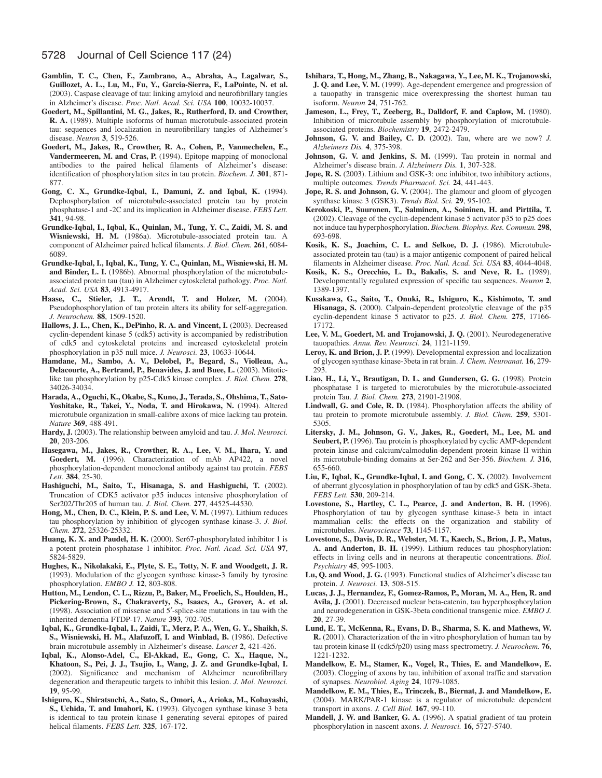- **Gamblin, T. C., Chen, F., Zambrano, A., Abraha, A., Lagalwar, S., Guillozet, A. L., Lu, M., Fu, Y., Garcia-Sierra, F., LaPointe, N. et al.** (2003). Caspase cleavage of tau: linking amyloid and neurofibrillary tangles in Alzheimer's disease. *Proc. Natl. Acad. Sci. USA* **100**, 10032-10037.
- **Goedert, M., Spillantini, M. G., Jakes, R., Rutherford, D. and Crowther, R. A.** (1989). Multiple isoforms of human microtubule-associated protein tau: sequences and localization in neurofibrillary tangles of Alzheimer's disease. *Neuron* **3**, 519-526.
- **Goedert, M., Jakes, R., Crowther, R. A., Cohen, P., Vanmechelen, E., Vandermeeren, M. and Cras, P.** (1994). Epitope mapping of monoclonal antibodies to the paired helical filaments of Alzheimer's disease: identification of phosphorylation sites in tau protein. *Biochem. J.* **301**, 871- 877.
- **Gong, C. X., Grundke-Iqbal, I., Damuni, Z. and Iqbal, K.** (1994). Dephosphorylation of microtubule-associated protein tau by protein phosphatase-1 and -2C and its implication in Alzheimer disease. *FEBS Lett.* **341**, 94-98.
- **Grundke-Iqbal, I., Iqbal, K., Quinlan, M., Tung, Y. C., Zaidi, M. S. and Wisniewski, H. M.** (1986a). Microtubule-associated protein tau. A component of Alzheimer paired helical filaments. *J. Biol. Chem.* **261**, 6084- 6089.
- **Grundke-Iqbal, I., Iqbal, K., Tung, Y. C., Quinlan, M., Wisniewski, H. M.** and Binder, L. I. (1986b). Abnormal phosphorylation of the microtubuleassociated protein tau (tau) in Alzheimer cytoskeletal pathology. *Proc. Natl. Acad. Sci. USA* **83**, 4913-4917.
- **Haase, C., Stieler, J. T., Arendt, T. and Holzer, M.** (2004). Pseudophosphorylation of tau protein alters its ability for self-aggregation. *J. Neurochem.* **88**, 1509-1520.
- Hallows, J. L., Chen, K., DePinho, R. A. and Vincent, I. (2003). Decreased cyclin-dependent kinase 5 (cdk5) activity is accompanied by redistribution of cdk5 and cytoskeletal proteins and increased cytoskeletal protein phosphorylation in p35 null mice. *J. Neurosci.* **23**, 10633-10644.
- **Hamdane, M., Sambo, A. V., Delobel, P., Begard, S., Violleau, A., Delacourte, A., Bertrand, P., Benavides, J. and Buee, L.** (2003). Mitoticlike tau phosphorylation by p25-Cdk5 kinase complex. *J. Biol. Chem.* **278**, 34026-34034.
- **Harada, A., Oguchi, K., Okabe, S., Kuno, J., Terada, S., Ohshima, T., Sato-**Yoshitake, R., Takei, Y., Noda, T. and Hirokawa, N. (1994). Altered microtubule organization in small-calibre axons of mice lacking tau protein. *Nature* **369**, 488-491.
- **Hardy, J.** (2003). The relationship between amyloid and tau. *J. Mol. Neurosci.* **20**, 203-206.
- **Hasegawa, M., Jakes, R., Crowther, R. A., Lee, V. M., Ihara, Y. and Goedert, M.** (1996). Characterization of mAb AP422, a novel phosphorylation-dependent monoclonal antibody against tau protein. *FEBS Lett.* **384**, 25-30.
- **Hashiguchi, M., Saito, T., Hisanaga, S. and Hashiguchi, T.** (2002). Truncation of CDK5 activator p35 induces intensive phosphorylation of Ser202/Thr205 of human tau. *J. Biol. Chem.* **277**, 44525-44530.
- **Hong, M., Chen, D. C., Klein, P. S. and Lee, V. M.** (1997). Lithium reduces tau phosphorylation by inhibition of glycogen synthase kinase-3. *J. Biol. Chem.* **272**, 25326-25332.
- Huang, K. X. and Paudel, H. K. (2000). Ser67-phosphorylated inhibitor 1 is a potent protein phosphatase 1 inhibitor. *Proc. Natl. Acad. Sci. USA* **97**, 5824-5829.
- **Hughes, K., Nikolakaki, E., Plyte, S. E., Totty, N. F. and Woodgett, J. R.** (1993). Modulation of the glycogen synthase kinase-3 family by tyrosine phosphorylation. *EMBO J.* **12**, 803-808.
- **Hutton, M., Lendon, C. L., Rizzu, P., Baker, M., Froelich, S., Houlden, H., Pickering-Brown, S., Chakraverty, S., Isaacs, A., Grover, A. et al.** (1998). Association of missense and 5′-splice-site mutations in tau with the inherited dementia FTDP-17. *Nature* **393**, 702-705.
- **Iqbal, K., Grundke-Iqbal, I., Zaidi, T., Merz, P. A., Wen, G. Y., Shaikh, S.** S., Wisniewski, H. M., Alafuzoff, I. and Winblad, B. (1986). Defective brain microtubule assembly in Alzheimer's disease. *Lancet* **2**, 421-426.
- **Iqbal, K., Alonso-Adel, C., El-Akkad, E., Gong, C. X., Haque, N., Khatoon, S., Pei, J. J., Tsujio, I., Wang, J. Z. and Grundke-Iqbal, I.** (2002). Significance and mechanism of Alzheimer neurofibrillary degeneration and therapeutic targets to inhibit this lesion. *J. Mol. Neurosci.* **19**, 95-99.
- **Ishiguro, K., Shiratsuchi, A., Sato, S., Omori, A., Arioka, M., Kobayashi, S., Uchida, T. and Imahori, K.** (1993). Glycogen synthase kinase 3 beta is identical to tau protein kinase I generating several epitopes of paired helical filaments. *FEBS Lett.* **325**, 167-172.
- **Ishihara, T., Hong, M., Zhang, B., Nakagawa, Y., Lee, M. K., Trojanowski, J. Q. and Lee, V. M.** (1999). Age-dependent emergence and progression of a tauopathy in transgenic mice overexpressing the shortest human tau isoform. *Neuron* **24**, 751-762.
- Jameson, L., Frey, T., Zeeberg, B., Dalldorf, F. and Caplow, M. (1980). Inhibition of microtubule assembly by phosphorylation of microtubuleassociated proteins. *Biochemistry* **19**, 2472-2479.
- **Johnson, G. V. and Bailey, C. D.** (2002). Tau, where are we now? *J. Alzheimers Dis.* **4**, 375-398.
- Johnson, G. V. and Jenkins, S. M. (1999). Tau protein in normal and Alzheimer's disease brain. *J. Alzheimers Dis.* **1**, 307-328.
- Jope, R. S. (2003). Lithium and GSK-3: one inhibitor, two inhibitory actions, multiple outcomes. *Trends Pharmacol. Sci.* **24**, 441-443.
- **Jope, R. S. and Johnson, G. V.** (2004). The glamour and gloom of glycogen synthase kinase 3 (GSK3). *Trends Biol. Sci.* **29**, 95-102.
- **Kerokoski, P., Suuronen, T., Salminen, A., Soininen, H. and Pirttila, T.** (2002). Cleavage of the cyclin-dependent kinase 5 activator p35 to p25 does not induce tau hyperphosphorylation. *Biochem. Biophys. Res. Commun.* **298**, 693-698.
- **Kosik, K. S., Joachim, C. L. and Selkoe, D. J.** (1986). Microtubuleassociated protein tau (tau) is a major antigenic component of paired helical filaments in Alzheimer disease. *Proc. Natl. Acad. Sci. USA* **83**, 4044-4048.
- **Kosik, K. S., Orecchio, L. D., Bakalis, S. and Neve, R. L.** (1989). Developmentally regulated expression of specific tau sequences. *Neuron* **2**, 1389-1397.
- **Kusakawa, G., Saito, T., Onuki, R., Ishiguro, K., Kishimoto, T. and Hisanaga, S.** (2000). Calpain-dependent proteolytic cleavage of the p35 cyclin-dependent kinase 5 activator to p25. *J. Biol. Chem.* **275**, 17166- 17172.
- Lee, V. M., Goedert, M. and Trojanowski, J. Q. (2001). Neurodegenerative tauopathies. *Annu. Rev. Neurosci.* **24**, 1121-1159.
- Leroy, K. and Brion, J. P. (1999). Developmental expression and localization of glycogen synthase kinase-3beta in rat brain. *J. Chem. Neuroanat.* **16**, 279- 293.
- Liao, H., Li, Y., Brautigan, D. L. and Gundersen, G. G. (1998). Protein phosphatase 1 is targeted to microtubules by the microtubule-associated protein Tau. *J. Biol. Chem.* **273**, 21901-21908.
- **Lindwall, G. and Cole, R. D.** (1984). Phosphorylation affects the ability of tau protein to promote microtubule assembly. *J. Biol. Chem.* **259**, 5301- 5305.
- **Litersky, J. M., Johnson, G. V., Jakes, R., Goedert, M., Lee, M. and Seubert, P.** (1996). Tau protein is phosphorylated by cyclic AMP-dependent protein kinase and calcium/calmodulin-dependent protein kinase II within its microtubule-binding domains at Ser-262 and Ser-356. *Biochem. J.* **316**, 655-660.
- Liu, F., Iqbal, K., Grundke-Iqbal, I. and Gong, C. X. (2002). Involvement of aberrant glycosylation in phosphorylation of tau by cdk5 and GSK-3beta. *FEBS Lett.* **530**, 209-214.
- **Lovestone, S., Hartley, C. L., Pearce, J. and Anderton, B. H.** (1996). Phosphorylation of tau by glycogen synthase kinase-3 beta in intact mammalian cells: the effects on the organization and stability of microtubules. *Neuroscience* **73**, 1145-1157.
- **Lovestone, S., Davis, D. R., Webster, M. T., Kaech, S., Brion, J. P., Matus, A. and Anderton, B. H.** (1999). Lithium reduces tau phosphorylation: effects in living cells and in neurons at therapeutic concentrations. *Biol. Psychiatry* **45**, 995-1003.
- **Lu, Q. and Wood, J. G.** (1993). Functional studies of Alzheimer's disease tau protein. *J. Neurosci.* **13**, 508-515.
- **Lucas, J. J., Hernandez, F., Gomez-Ramos, P., Moran, M. A., Hen, R. and Avila, J.** (2001). Decreased nuclear beta-catenin, tau hyperphosphorylation and neurodegeneration in GSK-3beta conditional transgenic mice. *EMBO J.* **20**, 27-39.
- **Lund, E. T., McKenna, R., Evans, D. B., Sharma, S. K. and Mathews, W. R.** (2001). Characterization of the in vitro phosphorylation of human tau by tau protein kinase II (cdk5/p20) using mass spectrometry. *J. Neurochem.* **76**, 1221-1232.
- **Mandelkow, E. M., Stamer, K., Vogel, R., Thies, E. and Mandelkow, E.** (2003). Clogging of axons by tau, inhibition of axonal traffic and starvation of synapses. *Neurobiol. Aging* **24**, 1079-1085.
- **Mandelkow, E. M., Thies, E., Trinczek, B., Biernat, J. and Mandelkow, E.** (2004). MARK/PAR-1 kinase is a regulator of microtubule dependent transport in axons. *J. Cell Biol.* **167**, 99-110.
- **Mandell, J. W. and Banker, G. A.** (1996). A spatial gradient of tau protein phosphorylation in nascent axons. *J. Neurosci.* **16**, 5727-5740.